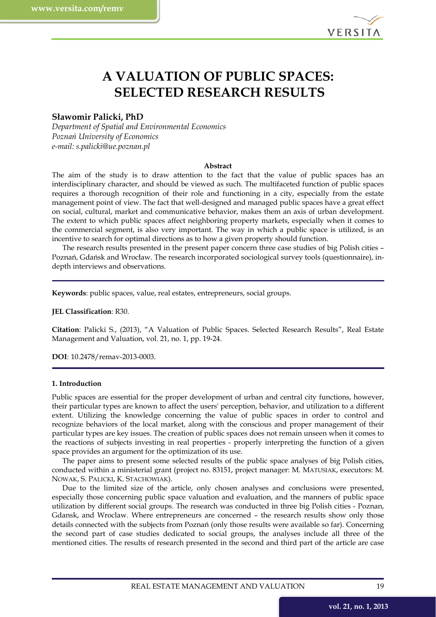

# **A VALUATION OF PUBLIC SPACES: SELECTED RESEARCH RESULTS**

# **Sławomir Palicki, PhD**

*Department of Spatial and Environmental Economics Poznań University of Economics e-mail: s.palicki@ue.poznan.pl*

#### **Abstract**

The aim of the study is to draw attention to the fact that the value of public spaces has an interdisciplinary character, and should be viewed as such. The multifaceted function of public spaces requires a thorough recognition of their role and functioning in a city, especially from the estate management point of view. The fact that well-designed and managed public spaces have a great effect on social, cultural, market and communicative behavior, makes them an axis of urban development. The extent to which public spaces affect neighboring property markets, especially when it comes to the commercial segment, is also very important. The way in which a public space is utilized, is an incentive to search for optimal directions as to how a given property should function.

The research results presented in the present paper concern three case studies of big Polish cities – Poznań, Gdańsk and Wrocław. The research incorporated sociological survey tools (questionnaire), indepth interviews and observations.

**Keywords**: public spaces, value, real estates, entrepreneurs, social groups.

**JEL Classification**: R30.

**Citation**: Palicki S., (2013), "A Valuation of Public Spaces. Selected Research Results", Real Estate Management and Valuation, vol. 21, no. 1, pp. 19-24.

**DOI**: 10.2478/remav-2013-0003.

#### **1. Introduction**

Public spaces are essential for the proper development of urban and central city functions, however, their particular types are known to affect the users' perception, behavior, and utilization to a different extent. Utilizing the knowledge concerning the value of public spaces in order to control and recognize behaviors of the local market, along with the conscious and proper management of their particular types are key issues. The creation of public spaces does not remain unseen when it comes to the reactions of subjects investing in real properties - properly interpreting the function of a given space provides an argument for the optimization of its use.

The paper aims to present some selected results of the public space analyses of big Polish cities, conducted within a ministerial grant (project no. 83151, project manager: M. MATUSIAK, executors: M. NOWAK, S. PALICKI, K. STACHOWIAK).

Due to the limited size of the article, only chosen analyses and conclusions were presented, especially those concerning public space valuation and evaluation, and the manners of public space utilization by different social groups. The research was conducted in three big Polish cities - Poznan, Gdansk, and Wroclaw. Where entrepreneurs are concerned – the research results show only those details connected with the subjects from Poznań (only those results were available so far). Concerning the second part of case studies dedicated to social groups, the analyses include all three of the mentioned cities. The results of research presented in the second and third part of the article are case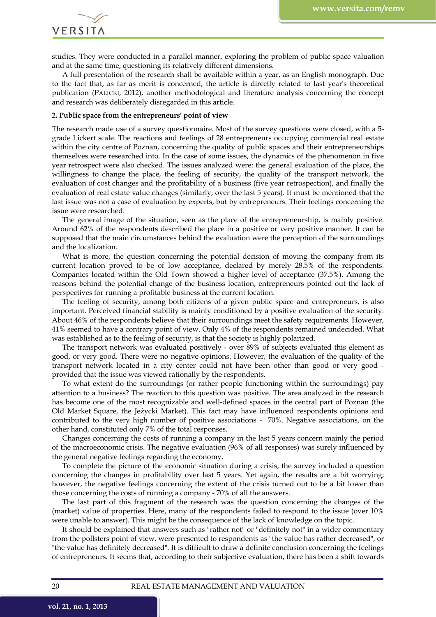

studies. They were conducted in a parallel manner, exploring the problem of public space valuation and at the same time, questioning its relatively different dimensions.

A full presentation of the research shall be available within a year, as an English monograph. Due to the fact that, as far as merit is concerned, the article is directly related to last year's theoretical publication (PALICKI, 2012), another methodological and literature analysis concerning the concept and research was deliberately disregarded in this article.

#### **2. Public space from the entrepreneurs' point of view**

The research made use of a survey questionnaire. Most of the survey questions were closed, with a 5 grade Lickert scale. The reactions and feelings of 28 entrepreneurs occupying commercial real estate within the city centre of Poznan, concerning the quality of public spaces and their entrepreneurships themselves were researched into. In the case of some issues, the dynamics of the phenomenon in five year retrospect were also checked. The issues analyzed were: the general evaluation of the place, the willingness to change the place, the feeling of security, the quality of the transport network, the evaluation of cost changes and the profitability of a business (five year retrospection), and finally the evaluation of real estate value changes (similarly, over the last 5 years). It must be mentioned that the last issue was not a case of evaluation by experts, but by entrepreneurs. Their feelings concerning the issue were researched.

The general image of the situation, seen as the place of the entrepreneurship, is mainly positive. Around 62% of the respondents described the place in a positive or very positive manner. It can be supposed that the main circumstances behind the evaluation were the perception of the surroundings and the localization.

What is more, the question concerning the potential decision of moving the company from its current location proved to be of low acceptance, declared by merely 28.5% of the respondents. Companies located within the Old Town showed a higher level of acceptance (37.5%). Among the reasons behind the potential change of the business location, entrepreneurs pointed out the lack of perspectives for running a profitable business at the current location.

The feeling of security, among both citizens of a given public space and entrepreneurs, is also important. Perceived financial stability is mainly conditioned by a positive evaluation of the security. About 46% of the respondents believe that their surroundings meet the safety requirements. However, 41% seemed to have a contrary point of view. Only 4% of the respondents remained undecided. What was established as to the feeling of security, is that the society is highly polarized.

The transport network was evaluated positively - over 89% of subjects evaluated this element as good, or very good. There were no negative opinions. However, the evaluation of the quality of the transport network located in a city center could not have been other than good or very good provided that the issue was viewed rationally by the respondents.

To what extent do the surroundings (or rather people functioning within the surroundings) pay attention to a business? The reaction to this question was positive. The area analyzed in the research has become one of the most recognizable and well-defined spaces in the central part of Poznan (the Old Market Square, the Jeżycki Market). This fact may have influenced respondents opinions and contributed to the very high number of positive associations - 70%. Negative associations, on the other hand, constituted only 7% of the total responses.

Changes concerning the costs of running a company in the last 5 years concern mainly the period of the macroeconomic crisis. The negative evaluation (96% of all responses) was surely influenced by the general negative feelings regarding the economy.

To complete the picture of the economic situation during a crisis, the survey included a question concerning the changes in profitability over last 5 years. Yet again, the results are a bit worrying; however, the negative feelings concerning the extent of the crisis turned out to be a bit lower than those concerning the costs of running a company - 70% of all the answers.

The last part of this fragment of the research was the question concerning the changes of the (market) value of properties. Here, many of the respondents failed to respond to the issue (over 10% were unable to answer). This might be the consequence of the lack of knowledge on the topic.

It should be explained that answers such as "rather not" or "definitely not" in a wider commentary from the pollsters point of view, were presented to respondents as "the value has rather decreased", or "the value has definitely decreased". It is difficult to draw a definite conclusion concerning the feelings of entrepreneurs. It seems that, according to their subjective evaluation, there has been a shift towards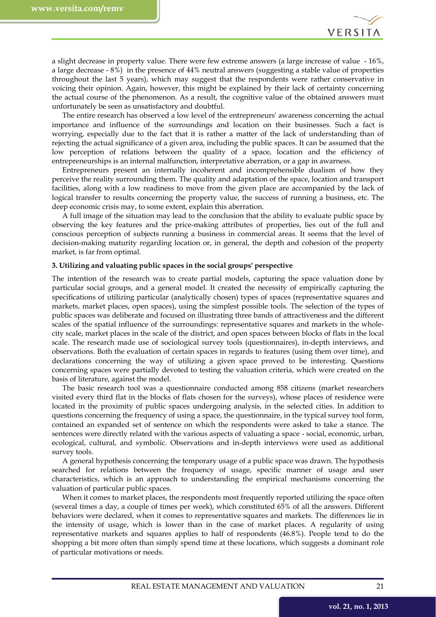

a slight decrease in property value. There were few extreme answers (a large increase of value - 16%, a large decrease - 8%) in the presence of 44% neutral answers (suggesting a stable value of properties throughout the last 5 years), which may suggest that the respondents were rather conservative in voicing their opinion. Again, however, this might be explained by their lack of certainty concerning the actual course of the phenomenon. As a result, the cognitive value of the obtained answers must unfortunately be seen as unsatisfactory and doubtful.

The entire research has observed a low level of the entrepreneurs' awareness concerning the actual importance and influence of the surroundings and location on their businesses. Such a fact is worrying, especially due to the fact that it is rather a matter of the lack of understanding than of rejecting the actual significance of a given area, including the public spaces. It can be assumed that the low perception of relations between the quality of a space, location and the efficiency of entrepreneurships is an internal malfunction, interpretative aberration, or a gap in awarness.

Entrepreneurs present an internally incoherent and incomprehensible dualism of how they perceive the reality surrounding them. The quality and adaptation of the space, location and transport facilities, along with a low readiness to move from the given place are accompanied by the lack of logical transfer to results concerning the property value, the success of running a business, etc. The deep economic crisis may, to some extent, explain this aberration.

A full image of the situation may lead to the conclusion that the ability to evaluate public space by observing the key features and the price-making attributes of properties, lies out of the full and conscious perception of subjects running a business in commercial areas. It seems that the level of decision-making maturity regarding location or, in general, the depth and cohesion of the property market, is far from optimal.

### **3. Utilizing and valuating public spaces in the social groups' perspective**

The intention of the research was to create partial models, capturing the space valuation done by particular social groups, and a general model. It created the necessity of empirically capturing the specifications of utilizing particular (analytically chosen) types of spaces (representative squares and markets, market places, open spaces), using the simplest possible tools. The selection of the types of public spaces was deliberate and focused on illustrating three bands of attractiveness and the different scales of the spatial influence of the surroundings: representative squares and markets in the wholecity scale, market places in the scale of the district, and open spaces between blocks of flats in the local scale. The research made use of sociological survey tools (questionnaires), in-depth interviews, and observations. Both the evaluation of certain spaces in regards to features (using them over time), and declarations concerning the way of utilizing a given space proved to be interesting. Questions concerning spaces were partially devoted to testing the valuation criteria, which were created on the basis of literature, against the model.

The basic research tool was a questionnaire conducted among 858 citizens (market researchers visited every third flat in the blocks of flats chosen for the surveys), whose places of residence were located in the proximity of public spaces undergoing analysis, in the selected cities. In addition to questions concerning the frequency of using a space, the questionnaire, in the typical survey tool form, contained an expanded set of sentence on which the respondents were asked to take a stance. The sentences were directly related with the various aspects of valuating a space - social, economic, urban, ecological, cultural, and symbolic. Observations and in-depth interviews were used as additional survey tools.

A general hypothesis concerning the temporary usage of a public space was drawn. The hypothesis searched for relations between the frequency of usage, specific manner of usage and user characteristics, which is an approach to understanding the empirical mechanisms concerning the valuation of particular public spaces.

When it comes to market places, the respondents most frequently reported utilizing the space often (several times a day, a couple of times per week), which constituted 65% of all the answers. Different behaviors were declared, when it comes to representative squares and markets. The differences lie in the intensity of usage, which is lower than in the case of market places. A regularity of using representative markets and squares applies to half of respondents (46.8%). People tend to do the shopping a bit more often than simply spend time at these locations, which suggests a dominant role of particular motivations or needs.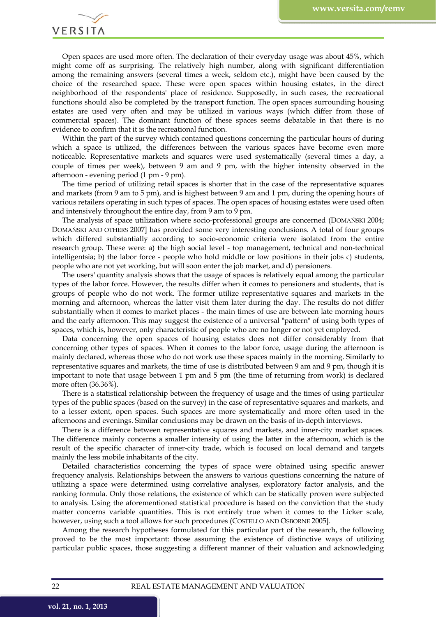# VERSITA

Open spaces are used more often. The declaration of their everyday usage was about 45%, which might come off as surprising. The relatively high number, along with significant differentiation among the remaining answers (several times a week, seldom etc.), might have been caused by the choice of the researched space. These were open spaces within housing estates, in the direct neighborhood of the respondents' place of residence. Supposedly, in such cases, the recreational functions should also be completed by the transport function. The open spaces surrounding housing estates are used very often and may be utilized in various ways (which differ from those of commercial spaces). The dominant function of these spaces seems debatable in that there is no evidence to confirm that it is the recreational function.

Within the part of the survey which contained questions concerning the particular hours of during which a space is utilized, the differences between the various spaces have become even more noticeable. Representative markets and squares were used systematically (several times a day, a couple of times per week), between 9 am and 9 pm, with the higher intensity observed in the afternoon - evening period (1 pm - 9 pm).

The time period of utilizing retail spaces is shorter that in the case of the representative squares and markets (from 9 am to 5 pm), and is highest between 9 am and 1 pm, during the opening hours of various retailers operating in such types of spaces. The open spaces of housing estates were used often and intensively throughout the entire day, from 9 am to 9 pm.

The analysis of space utilization where socio-professional groups are concerned (DOMAŃSKI 2004; DOMAŃSKI AND OTHERS 2007] has provided some very interesting conclusions. A total of four groups which differed substantially according to socio-economic criteria were isolated from the entire research group. These were: a) the high social level - top management, technical and non-technical intelligentsia; b) the labor force - people who hold middle or low positions in their jobs c) students, people who are not yet working, but will soon enter the job market, and d) pensioners.

The users' quantity analysis shows that the usage of spaces is relatively equal among the particular types of the labor force. However, the results differ when it comes to pensioners and students, that is groups of people who do not work. The former utilize representative squares and markets in the morning and afternoon, whereas the latter visit them later during the day. The results do not differ substantially when it comes to market places - the main times of use are between late morning hours and the early afternoon. This may suggest the existence of a universal "pattern" of using both types of spaces, which is, however, only characteristic of people who are no longer or not yet employed.

Data concerning the open spaces of housing estates does not differ considerably from that concerning other types of spaces. When it comes to the labor force, usage during the afternoon is mainly declared, whereas those who do not work use these spaces mainly in the morning. Similarly to representative squares and markets, the time of use is distributed between 9 am and 9 pm, though it is important to note that usage between 1 pm and 5 pm (the time of returning from work) is declared more often (36.36%).

There is a statistical relationship between the frequency of usage and the times of using particular types of the public spaces (based on the survey) in the case of representative squares and markets, and to a lesser extent, open spaces. Such spaces are more systematically and more often used in the afternoons and evenings. Similar conclusions may be drawn on the basis of in-depth interviews.

There is a difference between representative squares and markets, and inner-city market spaces. The difference mainly concerns a smaller intensity of using the latter in the afternoon, which is the result of the specific character of inner-city trade, which is focused on local demand and targets mainly the less mobile inhabitants of the city.

Detailed characteristics concerning the types of space were obtained using specific answer frequency analysis. Relationships between the answers to various questions concerning the nature of utilizing a space were determined using correlative analyses, exploratory factor analysis, and the ranking formula. Only those relations, the existence of which can be statically proven were subjected to analysis. Using the aforementioned statistical procedure is based on the conviction that the study matter concerns variable quantities. This is not entirely true when it comes to the Licker scale, however, using such a tool allows for such procedures (COSTELLO AND OSBORNE 2005].

Among the research hypotheses formulated for this particular part of the research, the following proved to be the most important: those assuming the existence of distinctive ways of utilizing particular public spaces, those suggesting a different manner of their valuation and acknowledging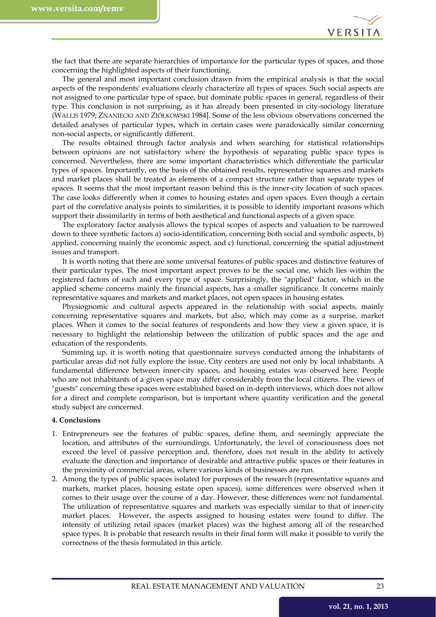

the fact that there are separate hierarchies of importance for the particular types of spaces, and those concerning the highlighted aspects of their functioning.

The general and most important conclusion drawn from the empirical analysis is that the social aspects of the respondents' evaluations clearly characterize all types of spaces. Such social aspects are not assigned to one particular type of space, but dominate public spaces in general, regardless of their type. This conclusion is not surprising, as it has already been presented in city-sociology literature (WALLIS 1979; ZNANIECKI AND ZIÓŁKOWSKI 1984]. Some of the less obvious observations concerned the detailed analyses of particular types, which in certain cases were paradoxically similar concerning non-social aspects, or significantly different.

The results obtained through factor analysis and when searching for statistical relationships between opinions are not satisfactory where the hypothesis of separating public space types is concerned. Nevertheless, there are some important characteristics which differentiate the particular types of spaces. Importantly, on the basis of the obtained results, representative squares and markets and market places shall be treated as elements of a compact structure rather than separate types of spaces. It seems that the most important reason behind this is the inner-city location of such spaces. The case looks differently when it comes to housing estates and open spaces. Even though a certain part of the correlative analysis points to similarities, it is possible to identify important reasons which support their dissimilarity in terms of both aesthetical and functional aspects of a given space.

The exploratory factor analysis allows the typical scopes of aspects and valuation to be narrowed down to three synthetic factors a) socio-identification, concerning both social and symbolic aspects, b) applied, concerning mainly the economic aspect, and c) functional, concerning the spatial adjustment issues and transport.

It is worth noting that there are some universal features of public spaces and distinctive features of their particular types. The most important aspect proves to be the social one, which lies within the registered factors of each and every type of space. Surprisingly, the "applied" factor, which in the applied scheme concerns mainly the financial aspects, has a smaller significance. It concerns mainly representative squares and markets and market places, not open spaces in housing estates.

Physiognomic and cultural aspects appeared in the relationship with social aspects, mainly concerning representative squares and markets, but also, which may come as a surprise, market places. When it comes to the social features of respondents and how they view a given space, it is necessary to highlight the relationship between the utilization of public spaces and the age and education of the respondents.

Summing up, it is worth noting that questionnaire surveys conducted among the inhabitants of particular areas did not fully explore the issue. City centers are used not only by local inhabitants. A fundamental difference between inner-city spaces, and housing estates was observed here. People who are not inhabitants of a given space may differ considerably from the local citizens. The views of "guests" concerning these spaces were established based on in-depth interviews, which does not allow for a direct and complete comparison, but is important where quantity verification and the general study subject are concerned.

#### **4. Conclusions**

- 1. Entrepreneurs see the features of public spaces, define them, and seemingly appreciate the location, and attributes of the surroundings. Unfortunately, the level of consciousness does not exceed the level of passive perception and, therefore, does not result in the ability to actively evaluate the direction and importance of desirable and attractive public spaces or their features in the proximity of commercial areas, where various kinds of businesses are run.
- 2. Among the types of public spaces isolated for purposes of the research (representative squares and markets, market places, housing estate open spaces), some differences were observed when it comes to their usage over the course of a day. However, these differences were not fundamental. The utilization of representative squares and markets was especially similar to that of inner-city market places. However, the aspects assigned to housing estates were found to differ. The intensity of utilizing retail spaces (market places) was the highest among all of the researched space types. It is probable that research results in their final form will make it possible to verify the correctness of the thesis formulated in this article.